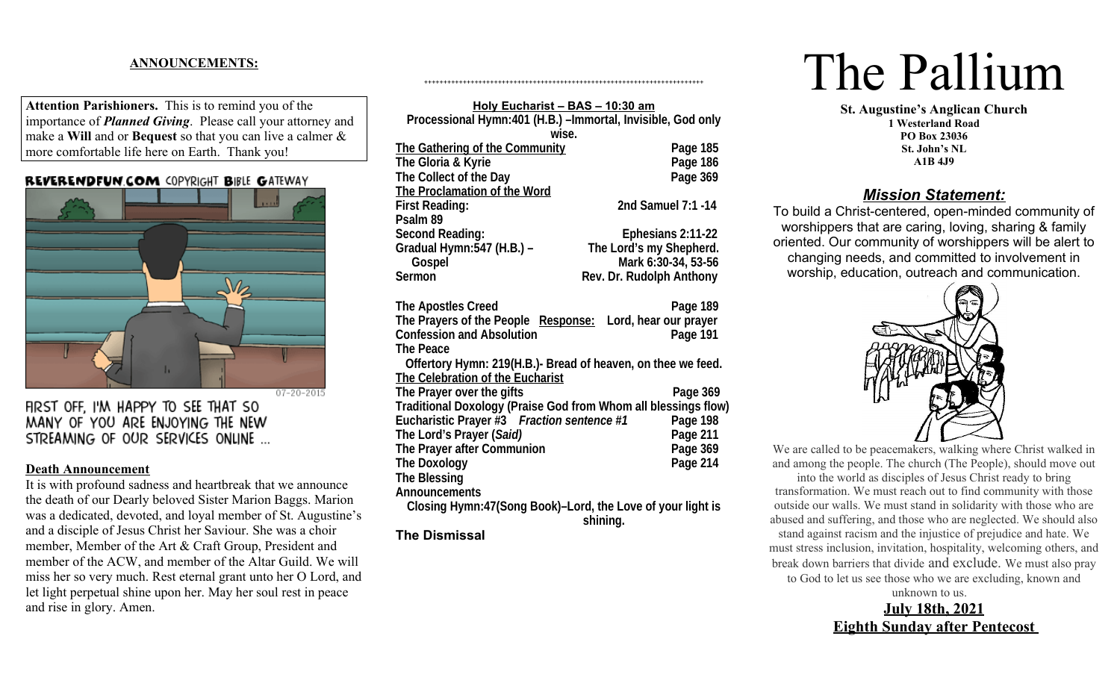## **ANNOUNCEMENTS:**

**Attention Parishioners.** This is to remind you of the importance of *Planned Giving*. Please call your attorney and make a **Will** and or **Bequest** so that you can live a calmer & more comfortable life here on Earth. Thank you!

#### **REVERENDFUN COM COPYRIGHT BIBLE GATEWAY**



FIRST OFF. I'M HAPPY TO SEE THAT SO MANY OF YOU ARE ENJOYING THE NEW STREAMING OF OUR SERVICES ONLINE ...

#### **Death Announcement**

It is with profound sadness and heartbreak that we announce the death of our Dearly beloved Sister Marion Baggs. Marion was a dedicated, devoted, and loyal member of St. Augustine's and a disciple of Jesus Christ her Saviour. She was a choir member, Member of the Art & Craft Group, President and member of the ACW, and member of the Altar Guild. We will miss her so very much. Rest eternal grant unto her O Lord, and let light perpetual shine upon her. May her soul rest in peace and rise in glory. Amen.

| Holy Eucharist - BAS - 10:30 am                                |                          |  |  |  |
|----------------------------------------------------------------|--------------------------|--|--|--|
| Processional Hymn:401 (H.B.) - Immortal, Invisible, God only   |                          |  |  |  |
| wise.                                                          |                          |  |  |  |
| The Gathering of the Community                                 | Page 185                 |  |  |  |
| The Gloria & Kyrie                                             | Page 186                 |  |  |  |
| The Collect of the Day                                         | Page 369                 |  |  |  |
| The Proclamation of the Word                                   |                          |  |  |  |
| <b>First Reading:</b>                                          | 2nd Samuel 7:1 -14       |  |  |  |
| Psalm 89                                                       |                          |  |  |  |
| <b>Second Reading:</b>                                         | Ephesians 2:11-22        |  |  |  |
| Gradual Hymn: 547 (H.B.) -                                     | The Lord's my Shepherd.  |  |  |  |
| Gospel                                                         | Mark 6:30-34, 53-56      |  |  |  |
| <b>Sermon</b>                                                  | Rev. Dr. Rudolph Anthony |  |  |  |
|                                                                |                          |  |  |  |
| <b>The Apostles Creed</b>                                      | Page 189                 |  |  |  |
| The Prayers of the People Response: Lord, hear our prayer      |                          |  |  |  |
| <b>Confession and Absolution</b>                               | Page 191                 |  |  |  |
| <b>The Peace</b>                                               |                          |  |  |  |
| Offertory Hymn: 219(H.B.)- Bread of heaven, on thee we feed.   |                          |  |  |  |
| The Celebration of the Eucharist                               |                          |  |  |  |
| The Prayer over the gifts                                      | Page 369                 |  |  |  |
| Traditional Doxology (Praise God from Whom all blessings flow) |                          |  |  |  |
| Eucharistic Prayer #3 Fraction sentence #1                     | Page 198                 |  |  |  |
| The Lord's Prayer (Said)                                       | Page 211                 |  |  |  |
| The Prayer after Communion                                     | Page 369                 |  |  |  |
| <b>The Doxology</b>                                            | <b>Page 214</b>          |  |  |  |
| <b>The Blessing</b>                                            |                          |  |  |  |
| <b>Announcements</b>                                           |                          |  |  |  |
| Closing Hymn:47(Song Book)-Lord, the Love of your light is     |                          |  |  |  |
|                                                                | shining.                 |  |  |  |
| <b>The Dismissal</b>                                           |                          |  |  |  |

++++++++++++++++++++++++++++++++++++++++++++++++++++++++++++++++++++++++

# The Pallium

**St. Augustine's Anglican Church 1 Westerland Road PO Box 23036 St. John's NL A1B 4J9**

# *Mission Statement:*

To build a Christ-centered, open-minded community of worshippers that are caring, loving, sharing & family oriented. Our community of worshippers will be alert to changing needs, and committed to involvement in worship, education, outreach and communication.



We are called to be peacemakers, walking where Christ walked in and among the people. The church (The People), should move out into the world as disciples of Jesus Christ ready to bring transformation. We must reach out to find community with those outside our walls. We must stand in solidarity with those who are abused and suffering, and those who are neglected. We should also stand against racism and the injustice of prejudice and hate. We must stress inclusion, invitation, hospitality, welcoming others, and break down barriers that divide and exclude. We must also pray to God to let us see those who we are excluding, known and unknown to us.

> **July 18th, 2021 Eighth Sunday after Pentecost**